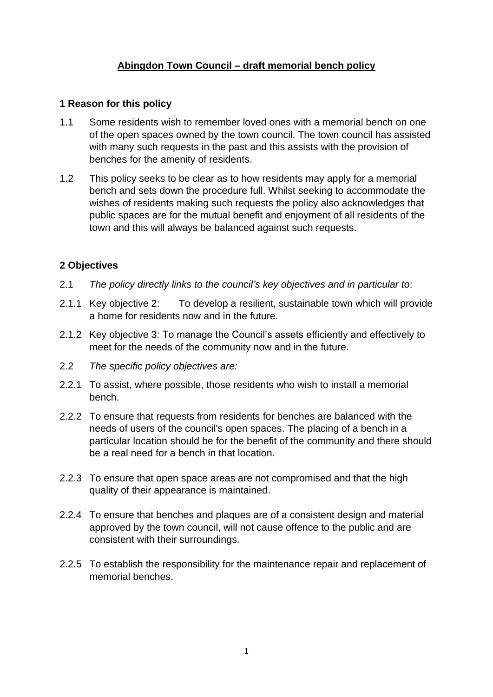# **Abingdon Town Council – draft memorial bench policy**

### **1 Reason for this policy**

- 1.1 Some residents wish to remember loved ones with a memorial bench on one of the open spaces owned by the town council. The town council has assisted with many such requests in the past and this assists with the provision of benches for the amenity of residents.
- 1.2 This policy seeks to be clear as to how residents may apply for a memorial bench and sets down the procedure full. Whilst seeking to accommodate the wishes of residents making such requests the policy also acknowledges that public spaces are for the mutual benefit and enjoyment of all residents of the town and this will always be balanced against such requests.

#### **2 Objectives**

- 2.1 *The policy directly links to the council's key objectives and in particular to*:
- 2.1.1 Key objective 2: To develop a resilient, sustainable town which will provide a home for residents now and in the future.
- 2.1.2 Key objective 3: To manage the Council's assets efficiently and effectively to meet for the needs of the community now and in the future.
- 2.2 *The specific policy objectives are:*
- 2.2.1 To assist, where possible, those residents who wish to install a memorial bench.
- 2.2.2 To ensure that requests from residents for benches are balanced with the needs of users of the council's open spaces. The placing of a bench in a particular location should be for the benefit of the community and there should be a real need for a bench in that location.
- 2.2.3 To ensure that open space areas are not compromised and that the high quality of their appearance is maintained.
- 2.2.4 To ensure that benches and plaques are of a consistent design and material approved by the town council, will not cause offence to the public and are consistent with their surroundings.
- 2.2.5 To establish the responsibility for the maintenance repair and replacement of memorial benches.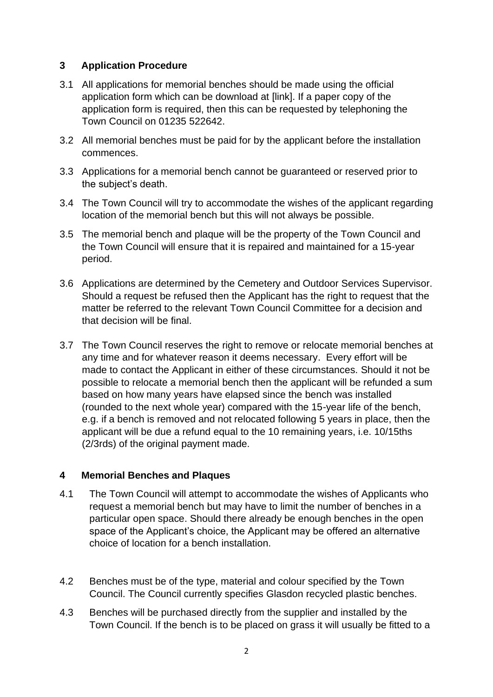# **3 Application Procedure**

- 3.1 All applications for memorial benches should be made using the official application form which can be download at [link]. If a paper copy of the application form is required, then this can be requested by telephoning the Town Council on 01235 522642.
- 3.2 All memorial benches must be paid for by the applicant before the installation commences.
- 3.3 Applications for a memorial bench cannot be guaranteed or reserved prior to the subject's death.
- 3.4 The Town Council will try to accommodate the wishes of the applicant regarding location of the memorial bench but this will not always be possible.
- 3.5 The memorial bench and plaque will be the property of the Town Council and the Town Council will ensure that it is repaired and maintained for a 15-year period.
- 3.6 Applications are determined by the Cemetery and Outdoor Services Supervisor. Should a request be refused then the Applicant has the right to request that the matter be referred to the relevant Town Council Committee for a decision and that decision will be final.
- 3.7 The Town Council reserves the right to remove or relocate memorial benches at any time and for whatever reason it deems necessary. Every effort will be made to contact the Applicant in either of these circumstances. Should it not be possible to relocate a memorial bench then the applicant will be refunded a sum based on how many years have elapsed since the bench was installed (rounded to the next whole year) compared with the 15-year life of the bench, e.g. if a bench is removed and not relocated following 5 years in place, then the applicant will be due a refund equal to the 10 remaining years, i.e. 10/15ths (2/3rds) of the original payment made.

# **4 Memorial Benches and Plaques**

- 4.1 The Town Council will attempt to accommodate the wishes of Applicants who request a memorial bench but may have to limit the number of benches in a particular open space. Should there already be enough benches in the open space of the Applicant's choice, the Applicant may be offered an alternative choice of location for a bench installation.
- 4.2 Benches must be of the type, material and colour specified by the Town Council. The Council currently specifies Glasdon recycled plastic benches.
- 4.3 Benches will be purchased directly from the supplier and installed by the Town Council. If the bench is to be placed on grass it will usually be fitted to a